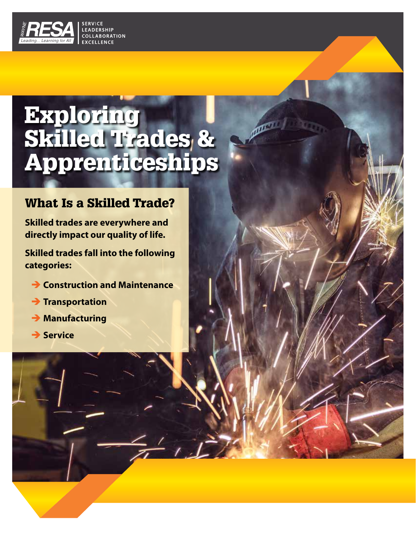

# Exploring **Skilled Trades &** Apprenticeships

**PARKET** 

### What Is a Skilled Trade?

**Skilled trades are everywhere and directly impact our quality of life.**

**Skilled trades fall into the following categories:**

- $\rightarrow$  **Construction and Maintenance**
- $\rightarrow$  Transportation
- $\rightarrow$  Manufacturing
- $→$  **Service**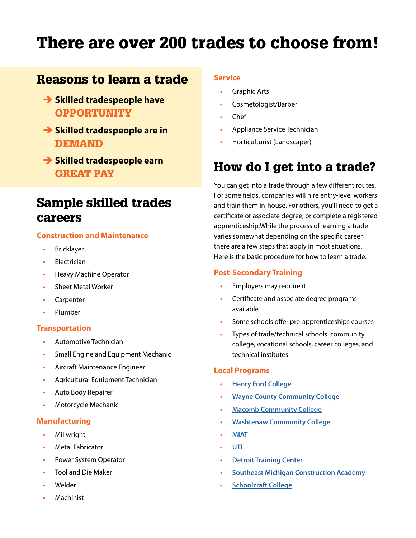# There are over 200 trades to choose from!

### Reasons to learn a trade

- $\rightarrow$  **Skilled tradespeople have OPPORTUNITY**
- $\rightarrow$  **Skilled tradespeople are in** DEMAND
- **→ Skilled tradespeople earn** GREAT PAY

### Sample skilled trades careers

### **Construction and Maintenance**

- **•** Bricklayer
- **•** Electrician
- **•** Heavy Machine Operator
- **•** Sheet Metal Worker
- **•** Carpenter
- **•** Plumber

#### **Transportation**

- **•** Automotive Technician
- **•** Small Engine and Equipment Mechanic
- **•** Aircraft Maintenance Engineer
- **•** Agricultural Equipment Technician
- **•** Auto Body Repairer
- **•** Motorcycle Mechanic

#### **Manufacturing**

- **•** Millwright
- **•** Metal Fabricator
- **•** Power System Operator
- **•** Tool and Die Maker
- **•** Welder
- **•** Machinist

### **Service**

- **•** Graphic Arts
- **•** Cosmetologist/Barber
- **•** Chef
- **•** Appliance Service Technician
- **•** Horticulturist (Landscaper)

### How do I get into a trade?

You can get into a trade through a few different routes. For some fields, companies will hire entry-level workers and train them in-house. For others, you'll need to get a certificate or associate degree, or complete a registered apprenticeship.While the process of learning a trade varies somewhat depending on the specific career, there are a few steps that apply in most situations. Here is the basic procedure for how to learn a trade:

#### **Post-Secondary Training**

- **•** Employers may require it
- **•** Certificate and associate degree programs available
- **•** Some schools offer pre-apprenticeships courses
- **•** Types of trade/technical schools: community college, vocational schools, career colleges, and technical institutes

#### **Local Programs**

- **• [Henry Ford College](https://www.hfcc.edu/)**
- **• [Wayne County Community College](http://www.wcccd.edu/)**
- **• [Macomb Community College](https://www.macomb.edu/)**
- **• [Washtenaw Community College](https://www.wccnet.edu/)**
- **• [MIAT](https://miat.edu/)**
- **• [UTI](https://start.uti.edu/request-info-2-step)**
- **• [Detroit Training Center](https://www.detroittraining.com/)**
- **• [Southeast Michigan Construction Academy](https://www.abcsemi.org/Construction-Academy/About-SEMCA)**
- **• [Schoolcraft College](https://schoolcraft.edu/)**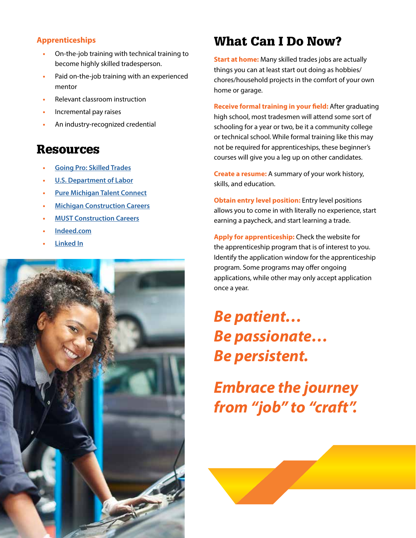### **Apprenticeships**

- **•** On-the-job training with technical training to become highly skilled tradesperson.
- **•** Paid on-the-job training with an experienced mentor
- **•** Relevant classroom instruction
- **•** Incremental pay raises
- **•** An industry-recognized credential

### Resources

- **• [Going Pro: Skilled Trades](https://www.going-pro.com/)**
- **• [U.S. Department of Labor](https://www.apprenticeship.gov/employers/registered-apprenticeship-program)**
- **• [Pure Michigan Talent Connect](https://www.mitalent.org/)**
- **• [Michigan Construction](http://www.miconstructionjobs.org/) Careers**
- **• [MUST Construction Careers](https://www.mustcareers.org/)**
- **• [Indeed.com](https://www.indeed.com/)**
- **• [Linked In](https://www.linkedin.com/)**



## What Can I Do Now?

**Start at home:** Many skilled trades jobs are actually things you can at least start out doing as hobbies/ chores/household projects in the comfort of your own home or garage.

**Receive formal training in your field:** After graduating high school, most tradesmen will attend some sort of schooling for a year or two, be it a community college or technical school. While formal training like this may not be required for apprenticeships, these beginner's courses will give you a leg up on other candidates.

**Create a resume:** A summary of your work history, skills, and education.

**Obtain entry level position:** Entry level positions allows you to come in with literally no experience, start earning a paycheck, and start learning a trade.

**Apply for apprenticeship:** Check the website for the apprenticeship program that is of interest to you. Identify the application window for the apprenticeship program. Some programs may offer ongoing applications, while other may only accept application once a year.

*Be patient… Be passionate… Be persistent.* 

*Embrace the journey from "job" to "craft".*